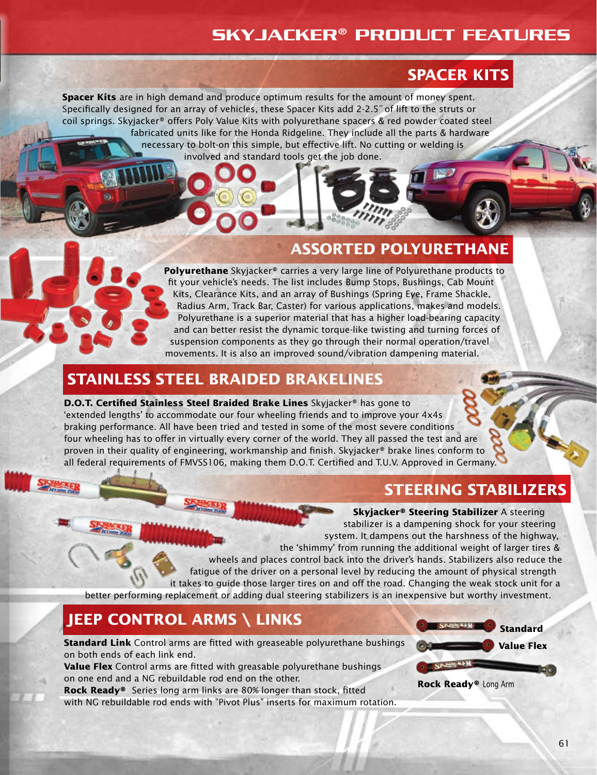### Skyjacker® Product Features

### **SPACER KITS**

**Spacer Kits** are in high demand and produce optimum results for the amount of money spent. Specifically designed for an array of vehicles, these Spacer Kits add 2-2.5˝ of lift to the struts or coil springs. Skyjacker® offers Poly Value Kits with polyurethane spacers & red powder coated steel fabricated units like for the Honda Ridgeline. They include all the parts & hardware necessary to bolt-on this simple, but effective lift. No cutting or welding is involved and standard tools get the job done.

#### **ASSORTED POLYURETHANE**

**Polyurethane** Skyjacker® carries a very large line of Polyurethane products to fit your vehicle's needs. The list includes Bump Stops, Bushings, Cab Mount Kits, Clearance Kits, and an array of Bushings (Spring Eye, Frame Shackle, Radius Arm, Track Bar, Caster) for various applications, makes and models. Polyurethane is a superior material that has a higher load-bearing capacity and can better resist the dynamic torque-like twisting and turning forces of suspension components as they go through their normal operation/travel movements. It is also an improved sound/vibration dampening material.

#### **STAINLESS STEEL BRAIDED BRAKELINES**

#### **D.O.T. Certified Stainless Steel Braided Brake Lines** Skyjacker® has gone to 'extended lengths' to accommodate our four wheeling friends and to improve your 4x4s braking performance. All have been tried and tested in some of the most severe conditions four wheeling has to offer in virtually every corner of the world. They all passed the test and are proven in their quality of engineering, workmanship and finish. Skyjacker® brake lines conform to all federal requirements of FMVSS106, making them D.O.T. Certified and T.U.V. Approved in Germany.

### **STEERING STABILIZERS**

#### **Skyjacker® Steering Stabilizer** A steering

stabilizer is a dampening shock for your steering system. It dampens out the harshness of the highway, the 'shimmy' from running the additional weight of larger tires & wheels and places control back into the driver's hands. Stabilizers also reduce the fatigue of the driver on a personal level by reducing the amount of physical strength it takes to guide those larger tires on and off the road. Changing the weak stock unit for a better performing replacement or adding dual steering stabilizers is an inexpensive but worthy investment.

### **JEEP CONTROL ARMS \ LINKS**

**Standard Link** Control arms are fitted with greaseable polyurethane bushings on both ends of each link end.

**Value Flex** Control arms are fitted with greasable polyurethane bushings on one end and a NG rebuildable rod end on the other.

**Rock Ready®** Series long arm links are 80% longer than stock, fitted with NG rebuildable rod ends with "Pivot Plus" inserts for maximum rotation.



61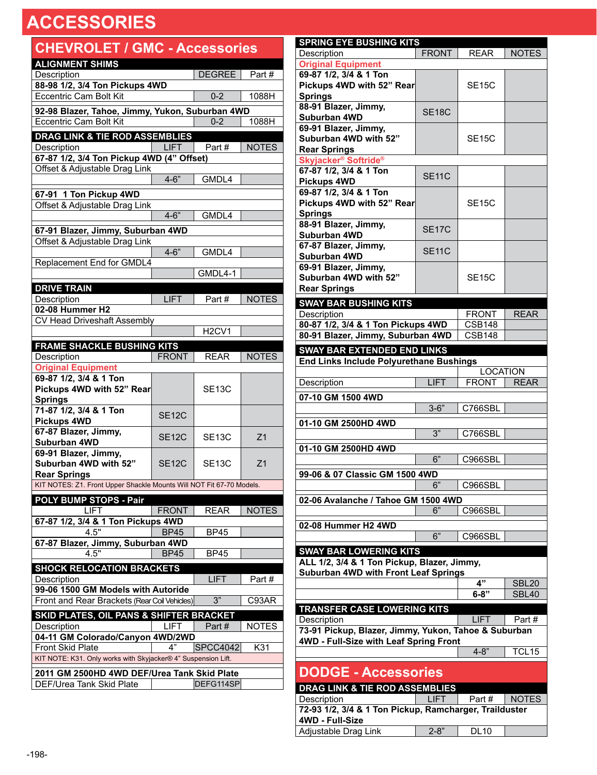| <b>CHEVROLET / GMC - Accessories</b>                                                     |              |                                |                |
|------------------------------------------------------------------------------------------|--------------|--------------------------------|----------------|
| <b>ALIGNMENT SHIMS</b>                                                                   |              |                                |                |
| Description                                                                              |              | DEGREE                         | Part#          |
| 88-98 1/2, 3/4 Ton Pickups 4WD<br><b>Eccentric Cam Bolt Kit</b>                          |              | $0 - 2$                        | 1088H          |
|                                                                                          |              |                                |                |
| 92-98 Blazer, Tahoe, Jimmy, Yukon, Suburban 4WD                                          |              |                                |                |
| <b>Eccentric Cam Bolt Kit</b>                                                            |              | $0 - 2$                        | 1088H          |
| DRAG LINK & TIE ROD ASSEMBLIES                                                           |              |                                |                |
| Description<br>67-87 1/2, 3/4 Ton Pickup 4WD (4" Offset)                                 | <b>LIFT</b>  | Part#                          | <b>NOTES</b>   |
| Offset & Adjustable Drag Link                                                            |              |                                |                |
|                                                                                          | $4 - 6"$     | GMDL4                          |                |
|                                                                                          |              |                                |                |
| 67-91 1 Ton Pickup 4WD<br>Offset & Adjustable Drag Link                                  |              |                                |                |
|                                                                                          | $4 - 6"$     | GMDL4                          |                |
|                                                                                          |              |                                |                |
| 67-91 Blazer, Jimmy, Suburban 4WD<br>Offset & Adjustable Drag Link                       |              |                                |                |
|                                                                                          | $4 - 6"$     | GMDL4                          |                |
| Replacement End for GMDL4                                                                |              |                                |                |
|                                                                                          |              | $GMDL4-1$                      |                |
| <b>DRIVE TRAIN</b>                                                                       |              |                                |                |
| Description                                                                              | <b>LIFT</b>  | Part#                          | <b>NOTES</b>   |
| 02-08 Hummer H2                                                                          |              |                                |                |
| CV Head Driveshaft Assembly                                                              |              |                                |                |
|                                                                                          |              | H <sub>2</sub> CV <sub>1</sub> |                |
| <b>FRAME SHACKLE BUSHING KITS</b>                                                        |              |                                |                |
| Description                                                                              | <b>FRONT</b> | <b>REAR</b>                    | <b>NOTES</b>   |
| <b>Original Equipment</b><br>69-87 1/2, 3/4 & 1 Ton                                      |              |                                |                |
| Pickups 4WD with 52" Rear                                                                |              | <b>SE13C</b>                   |                |
| <b>Springs</b>                                                                           |              |                                |                |
| 71-87 1/2, 3/4 & 1 Ton                                                                   |              |                                |                |
| <b>Pickups 4WD</b>                                                                       | <b>SE12C</b> |                                |                |
| 67-87 Blazer, Jimmy,                                                                     | <b>SE12C</b> | <b>SE13C</b>                   | Z <sub>1</sub> |
| Suburban 4WD                                                                             |              |                                |                |
| 69-91 Blazer, Jimmy,<br>Suburban 4WD with 52"                                            | <b>SE12C</b> |                                |                |
| <b>Rear Springs</b>                                                                      |              | <b>SE13C</b>                   | Z1             |
| KIT NOTES: Z1. Front Upper Shackle Mounts Will NOT Fit 67-70 Models.                     |              |                                |                |
| POLY BUMP STOPS - Pair                                                                   |              |                                |                |
| LIFT                                                                                     | FRONT        | REAR                           | <b>NOTES</b>   |
| 67-87 1/2, 3/4 & 1 Ton Pickups 4WD                                                       |              |                                |                |
| 4.5"                                                                                     | <b>BP45</b>  | <b>BP45</b>                    |                |
| 67-87 Blazer, Jimmy, Suburban 4WD                                                        |              |                                |                |
| 4.5"                                                                                     | <b>BP45</b>  | BP45                           |                |
| <b>SHOCK RELOCATION BRACKETS</b>                                                         |              |                                |                |
| Description                                                                              |              | <b>LIFT</b>                    | Part#          |
| 99-06 1500 GM Models with Autoride                                                       |              |                                |                |
| Front and Rear Brackets (Rear Coil Vehides)                                              |              | 3"                             | C93AR          |
| SKID PLATES, OIL PANS & SHIFTER BRACKET                                                  |              |                                |                |
| Description                                                                              | LIFT         | Part#                          | <b>NOTES</b>   |
| 04-11 GM Colorado/Canyon 4WD/2WD                                                         |              |                                |                |
| <b>Front Skid Plate</b><br>KIT NOTE: K31. Only works with Skyjacker® 4" Suspension Lift. | 4"           | SPCC4042                       | K31            |
|                                                                                          |              |                                |                |
| 2011 GM 2500HD 4WD DEF/Urea Tank Skid Plate                                              |              |                                |                |
| DEF/Urea Tank Skid Plate                                                                 |              | DEFG114SP                      |                |

| <b>SPRING EYE BUSHING KITS</b>                                        |                    |                    |              |
|-----------------------------------------------------------------------|--------------------|--------------------|--------------|
| Description                                                           | <b>FRONT</b>       | <b>REAR</b>        | <b>NOTES</b> |
| <b>Original Equipment</b>                                             |                    |                    |              |
| 69-87 1/2, 3/4 & 1 Ton                                                |                    |                    |              |
| Pickups 4WD with 52" Rear                                             |                    | SE <sub>15</sub> C |              |
| <b>Springs</b>                                                        |                    |                    |              |
| 88-91 Blazer, Jimmy,                                                  |                    |                    |              |
| Suburban 4WD                                                          | SE <sub>18</sub> C |                    |              |
| 69-91 Blazer, Jimmy,                                                  |                    |                    |              |
| Suburban 4WD with 52"                                                 |                    | <b>SE15C</b>       |              |
| <b>Rear Springs</b>                                                   |                    |                    |              |
| Skyjacker <sup>®</sup> Softride <sup>®</sup>                          |                    |                    |              |
| 67-87 1/2, 3/4 & 1 Ton                                                |                    |                    |              |
| <b>Pickups 4WD</b>                                                    | <b>SE11C</b>       |                    |              |
| 69-87 1/2, 3/4 & 1 Ton                                                |                    |                    |              |
| Pickups 4WD with 52" Rear                                             |                    | <b>SE15C</b>       |              |
| <b>Springs</b>                                                        |                    |                    |              |
| 88-91 Blazer, Jimmy,                                                  |                    |                    |              |
| <b>Suburban 4WD</b>                                                   | <b>SE17C</b>       |                    |              |
| 67-87 Blazer, Jimmy,                                                  |                    |                    |              |
| Suburban 4WD                                                          | <b>SE11C</b>       |                    |              |
| 69-91 Blazer, Jimmy,                                                  |                    |                    |              |
| Suburban 4WD with 52"                                                 |                    | SE <sub>15</sub> C |              |
| <b>Rear Springs</b>                                                   |                    |                    |              |
|                                                                       |                    |                    |              |
| <b>SWAY BAR BUSHING KITS</b>                                          |                    |                    |              |
| Description                                                           |                    | <b>FRONT</b>       | <b>REAR</b>  |
| 80-87 1/2, 3/4 & 1 Ton Pickups 4WD                                    |                    | <b>CSB148</b>      |              |
| 80-91 Blazer, Jimmy, Suburban 4WD                                     |                    | <b>CSB148</b>      |              |
| <b>SWAY BAR EXTENDED END LINKS</b>                                    |                    |                    |              |
| <b>End Links Include Polyurethane Bushings</b>                        |                    |                    |              |
|                                                                       |                    | <b>LOCATION</b>    |              |
| Description                                                           | <b>LIFT</b>        | <b>FRONT</b>       | <b>REAR</b>  |
|                                                                       |                    |                    |              |
|                                                                       |                    |                    |              |
| 07-10 GM 1500 4WD                                                     |                    |                    |              |
|                                                                       | $3 - 6"$           | C766SBL            |              |
| 01-10 GM 2500HD 4WD                                                   |                    |                    |              |
|                                                                       | 3"                 | C766SBL            |              |
| 01-10 GM 2500HD 4WD                                                   |                    |                    |              |
|                                                                       | 6"                 | C966SBL            |              |
|                                                                       |                    |                    |              |
| 99-06 & 07 Classic GM 1500 4WD                                        |                    |                    |              |
|                                                                       | 6"                 | C966SBL            |              |
| 02-06 Avalanche / Tahoe GM 1500 4WD                                   |                    |                    |              |
|                                                                       | 6"                 | C966SBL            |              |
| 02-08 Hummer H2 4WD                                                   |                    |                    |              |
|                                                                       | $\overline{6"}$    | C966SBL            |              |
|                                                                       |                    |                    |              |
| <b>SWAY BAR LOWERING KITS</b>                                         |                    |                    |              |
| ALL 1/2, 3/4 & 1 Ton Pickup, Blazer, Jimmy,                           |                    |                    |              |
| Suburban 4WD with Front Leaf Springs                                  |                    |                    |              |
|                                                                       |                    | 4"                 | <b>SBL20</b> |
|                                                                       |                    | $6 - 8"$           | SBL40        |
| <b>TRANSFER CASE LOWERING KITS</b>                                    |                    |                    |              |
| Description                                                           |                    | LIFT               | Part#        |
| 73-91 Pickup, Blazer, Jimmy, Yukon, Tahoe & Suburban                  |                    |                    |              |
| 4WD - Full-Size with Leaf Spring Front                                |                    |                    |              |
|                                                                       |                    | $4 - 8"$           | TCL15        |
|                                                                       |                    |                    |              |
| <b>DODGE - Accessories</b>                                            |                    |                    |              |
| DRAG LINK & TIE ROD ASSEMBLIES                                        |                    |                    |              |
| Description<br>72-93 1/2, 3/4 & 1 Ton Pickup, Ramcharger, Trailduster | <b>LIFT</b>        | Part#              | <b>NOTES</b> |

**4WD - Full-Size**

Adjustable Drag Link | 2-8" DL10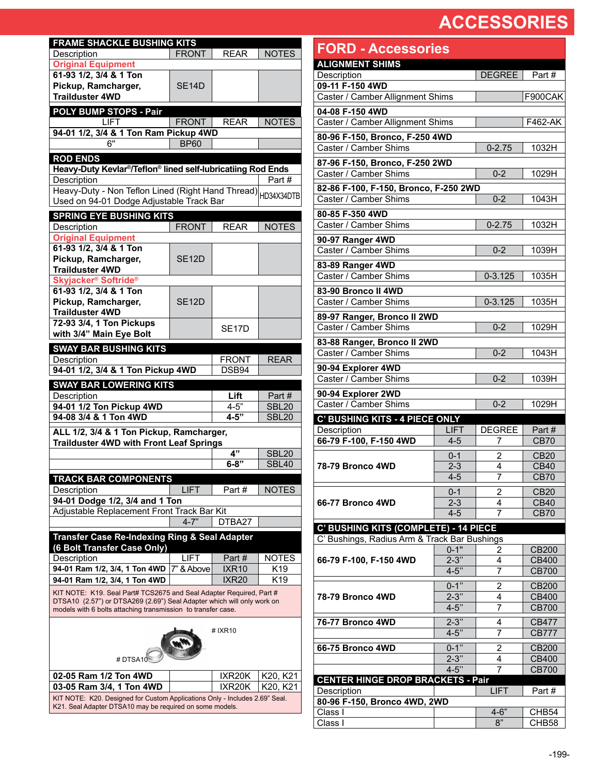| <b>FRAME SHACKLE BUSHING KITS</b>                                                                                                                                                                             |                    |                    |                       |  |  |  |  |
|---------------------------------------------------------------------------------------------------------------------------------------------------------------------------------------------------------------|--------------------|--------------------|-----------------------|--|--|--|--|
| Description                                                                                                                                                                                                   | <b>FRONT</b>       | <b>REAR</b>        | <b>NOTES</b>          |  |  |  |  |
| <b>Original Equipment</b>                                                                                                                                                                                     |                    |                    |                       |  |  |  |  |
| 61-93 1/2, 3/4 & 1 Ton                                                                                                                                                                                        |                    |                    |                       |  |  |  |  |
| Pickup, Ramcharger,                                                                                                                                                                                           | <b>SE14D</b>       |                    |                       |  |  |  |  |
| <b>Trailduster 4WD</b>                                                                                                                                                                                        |                    |                    |                       |  |  |  |  |
| <b>POLY BUMP STOPS - Pair</b>                                                                                                                                                                                 |                    |                    |                       |  |  |  |  |
| <b>LIFT</b><br>94-01 1/2, 3/4 & 1 Ton Ram Pickup 4WD                                                                                                                                                          | <b>FRONT</b>       | <b>REAR</b>        | <b>NOTES</b>          |  |  |  |  |
| 6"                                                                                                                                                                                                            | <b>BP60</b>        |                    |                       |  |  |  |  |
| <b>ROD ENDS</b>                                                                                                                                                                                               |                    |                    |                       |  |  |  |  |
| Heavy-Duty Kevlar <sup>®</sup> /Teflon <sup>®</sup> lined self-lubricatiing Rod Ends                                                                                                                          |                    |                    |                       |  |  |  |  |
| Description                                                                                                                                                                                                   |                    |                    | Part#                 |  |  |  |  |
| Heavy-Duty - Non Teflon Lined (Right Hand Thread)                                                                                                                                                             |                    |                    | HD34X34DTB            |  |  |  |  |
| Used on 94-01 Dodge Adjustable Track Bar                                                                                                                                                                      |                    |                    |                       |  |  |  |  |
| <b>SPRING EYE BUSHING KITS</b>                                                                                                                                                                                |                    |                    |                       |  |  |  |  |
| Description                                                                                                                                                                                                   | <b>FRONT</b>       | <b>REAR</b>        | <b>NOTES</b>          |  |  |  |  |
| <b>Original Equipment</b>                                                                                                                                                                                     |                    |                    |                       |  |  |  |  |
| 61-93 1/2, 3/4 & 1 Ton<br>Pickup, Ramcharger,                                                                                                                                                                 | SE <sub>12</sub> D |                    |                       |  |  |  |  |
| <b>Trailduster 4WD</b>                                                                                                                                                                                        |                    |                    |                       |  |  |  |  |
| <b>Skyjacker<sup>®</sup> Softride<sup>®</sup></b>                                                                                                                                                             |                    |                    |                       |  |  |  |  |
| 61-93 1/2, 3/4 & 1 Ton                                                                                                                                                                                        |                    |                    |                       |  |  |  |  |
| Pickup, Ramcharger,                                                                                                                                                                                           | <b>SE12D</b>       |                    |                       |  |  |  |  |
| <b>Trailduster 4WD</b>                                                                                                                                                                                        |                    |                    |                       |  |  |  |  |
| 72-93 3/4, 1 Ton Pickups                                                                                                                                                                                      |                    | SE <sub>17</sub> D |                       |  |  |  |  |
| with 3/4" Main Eye Bolt                                                                                                                                                                                       |                    |                    |                       |  |  |  |  |
| <b>SWAY BAR BUSHING KITS</b>                                                                                                                                                                                  |                    | <b>FRONT</b>       | <b>REAR</b>           |  |  |  |  |
| Description<br>94-01 1/2, 3/4 & 1 Ton Pickup 4WD                                                                                                                                                              |                    | DSB94              |                       |  |  |  |  |
| <b>SWAY BAR LOWERING KITS</b>                                                                                                                                                                                 |                    |                    |                       |  |  |  |  |
|                                                                                                                                                                                                               |                    |                    |                       |  |  |  |  |
|                                                                                                                                                                                                               |                    |                    |                       |  |  |  |  |
| Description                                                                                                                                                                                                   |                    | Lift<br>$4 - 5"$   | Part#<br><b>SBL20</b> |  |  |  |  |
| 94-01 1/2 Ton Pickup 4WD<br>94-08 3/4 & 1 Ton 4WD                                                                                                                                                             |                    | $4 - 5"$           | <b>SBL20</b>          |  |  |  |  |
| ALL 1/2, 3/4 & 1 Ton Pickup, Ramcharger,                                                                                                                                                                      |                    |                    |                       |  |  |  |  |
| <b>Trailduster 4WD with Front Leaf Springs</b>                                                                                                                                                                |                    |                    |                       |  |  |  |  |
|                                                                                                                                                                                                               |                    | 4"                 | <b>SBL20</b>          |  |  |  |  |
|                                                                                                                                                                                                               |                    | $6 - 8"$           | <b>SBL40</b>          |  |  |  |  |
| TRACK BAR COMPONENTS                                                                                                                                                                                          |                    |                    |                       |  |  |  |  |
| Description                                                                                                                                                                                                   | <b>LIFT</b>        | Part#              | <b>NOTES</b>          |  |  |  |  |
| 94-01 Dodge 1/2, 3/4 and 1 Ton                                                                                                                                                                                |                    |                    |                       |  |  |  |  |
| Adjustable Replacement Front Track Bar Kit                                                                                                                                                                    | $4 - 7"$           | DTBA27             |                       |  |  |  |  |
|                                                                                                                                                                                                               |                    |                    |                       |  |  |  |  |
| <b>Transfer Case Re-Indexing Ring &amp; Seal Adapter</b><br>(6 Bolt Transfer Case Only)                                                                                                                       |                    |                    |                       |  |  |  |  |
| Description                                                                                                                                                                                                   | LIFT               | Part #             | <b>NOTES</b>          |  |  |  |  |
| 94-01 Ram 1/2, 3/4, 1 Ton 4WD                                                                                                                                                                                 | 7" & Above         | <b>IXR10</b>       | K19                   |  |  |  |  |
| 94-01 Ram 1/2, 3/4, 1 Ton 4WD                                                                                                                                                                                 |                    | <b>IXR20</b>       | K <sub>19</sub>       |  |  |  |  |
| KIT NOTE: K19. Seal Part# TCS2675 and Seal Adapter Required, Part #<br>DTSA10 (2.57") or DTSA269 (2.69") Seal Adapter which will only work on<br>models with 6 bolts attaching transmission to transfer case. |                    |                    |                       |  |  |  |  |
|                                                                                                                                                                                                               |                    | # IXR10            |                       |  |  |  |  |
| #DTSA10                                                                                                                                                                                                       |                    |                    |                       |  |  |  |  |
| 02-05 Ram 1/2 Ton 4WD                                                                                                                                                                                         |                    | IXR20K             | K20, K21              |  |  |  |  |
| 03-05 Ram 3/4, 1 Ton 4WD<br>KIT NOTE: K20. Designed for Custom Applications Only - Includes 2.69" Seal.                                                                                                       |                    | IXR20K             | K20. K21              |  |  |  |  |

| <b>FORD - Accessories</b>                    |                      |                    |                              |
|----------------------------------------------|----------------------|--------------------|------------------------------|
| <b>ALIGNMENT SHIMS</b>                       |                      |                    |                              |
| Description                                  |                      | DEGREE <sup></sup> | Part#                        |
| 09-11 F-150 4WD                              |                      |                    |                              |
| Caster / Camber Allignment Shims             |                      |                    | F900CAK                      |
| 04-08 F-150 4WD                              |                      |                    |                              |
| Caster / Camber Allignment Shims             |                      |                    | F462-AK                      |
| 80-96 F-150, Bronco, F-250 4WD               |                      |                    |                              |
| Caster / Camber Shims                        |                      | $0 - 2.75$         | 1032H                        |
| 87-96 F-150, Bronco, F-250 2WD               |                      |                    |                              |
| Caster / Camber Shims                        |                      | $0 - 2$            | 1029H                        |
| 82-86 F-100, F-150, Bronco, F-250 2WD        |                      |                    |                              |
| Caster / Camber Shims                        |                      | $0 - 2$            | 1043H                        |
| 80-85 F-350 4WD                              |                      |                    |                              |
| Caster / Camber Shims                        |                      | $0 - 2.75$         | 1032H                        |
| 90-97 Ranger 4WD                             |                      |                    |                              |
| Caster / Camber Shims                        |                      | $0 - 2$            | 1039H                        |
| 83-89 Ranger 4WD                             |                      |                    |                              |
| Caster / Camber Shims                        |                      | $0 - 3.125$        | 1035H                        |
|                                              |                      |                    |                              |
| 83-90 Bronco II 4WD<br>Caster / Camber Shims |                      | $0 - 3.125$        | 1035H                        |
|                                              |                      |                    |                              |
| 89-97 Ranger, Bronco II 2WD                  |                      |                    |                              |
| Caster / Camber Shims                        |                      | $0 - 2$            | 1029H                        |
| 83-88 Ranger, Bronco II 2WD                  |                      |                    |                              |
| Caster / Camber Shims                        |                      | $0 - 2$            | 1043H                        |
| 90-94 Explorer 4WD                           |                      |                    |                              |
| Caster / Camber Shims                        |                      | $0 - 2$            | 1039H                        |
| 90-94 Explorer 2WD                           |                      |                    |                              |
| Caster / Camber Shims                        |                      | $0 - 2$            | 1029H                        |
| <b>C' BUSHING KITS - 4 PIECE ONLY</b>        |                      |                    |                              |
| Description                                  | <b>LIFT</b>          | <b>DEGREE</b>      | Part#                        |
| 66-79 F-100, F-150 4WD                       | $4 - 5$              | 7                  | <b>CB70</b>                  |
|                                              | $0 - 1$              | $\overline{2}$     | <b>CB20</b>                  |
| <b>78-79 Bronco 4WD</b>                      | $2 - 3$              | 4                  | <b>CB40</b>                  |
|                                              | $4 - 5$              | 7                  | <b>CB70</b>                  |
|                                              | $0 - 1$              | 2                  | <b>CB20</b>                  |
| 66-77 Bronco 4WD                             | $2 - 3$              | 4                  | <b>CB40</b>                  |
|                                              | $4 - 5$              | 7                  | <b>CB70</b>                  |
| <b>C' BUSHING KITS (COMPLETE) - 14 PIECE</b> |                      |                    |                              |
| C' Bushings, Radius Arm & Track Bar Bushings |                      |                    |                              |
|                                              | $0 - 1"$             | 2                  | CB200                        |
| 66-79 F-100, F-150 4WD                       | $2 - 3"$<br>$4 - 5"$ | 4<br>7             | CB400<br><b>CB700</b>        |
|                                              |                      |                    |                              |
|                                              | $0 - 1$ "            | $\overline{2}$     | CB200                        |
| 78-79 Bronco 4WD                             | $2 - 3"$<br>$4 - 5"$ | 4<br>7             | <b>CB400</b><br><b>CB700</b> |
|                                              |                      |                    |                              |
| 76-77 Bronco 4WD                             | $2 - 3"$             | 4                  | CB477                        |
|                                              | $4 - 5$              | 7                  | <b>CB777</b>                 |
| 66-75 Bronco 4WD                             | $0 - 1"$             | 2                  | CB200                        |
|                                              | $2 - 3"$             | 4                  | CB400                        |
| <b>CENTER HINGE DROP BRACKETS - Pair</b>     | $4 - 5"$             | 7                  | CB700                        |
| Description                                  |                      | LIFT               | Part#                        |
| 80-96 F-150, Bronco 4WD, 2WD                 |                      |                    |                              |
| Class I                                      |                      | $4 - 6"$           | CHB <sub>54</sub>            |
| Class I                                      |                      | 8"                 | CHB58                        |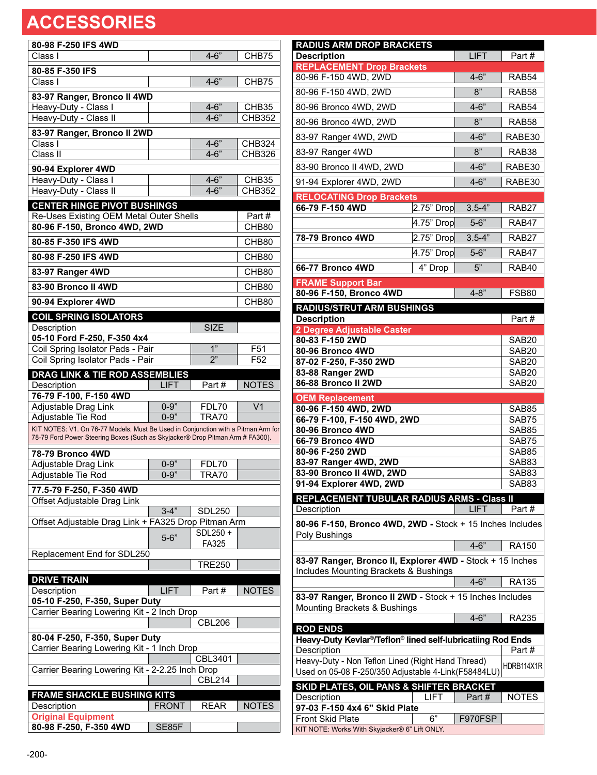| 80-98 F-250 IFS 4WD                                                                                                                                                |                      |               |                                |
|--------------------------------------------------------------------------------------------------------------------------------------------------------------------|----------------------|---------------|--------------------------------|
| Class I                                                                                                                                                            |                      | $4 - 6"$      | CHB75                          |
|                                                                                                                                                                    |                      |               |                                |
| 80-85 F-350 IFS                                                                                                                                                    |                      |               |                                |
| Class I                                                                                                                                                            |                      | $4 - 6"$      | CHB75                          |
| 83-97 Ranger, Bronco II 4WD                                                                                                                                        |                      |               |                                |
| Heavy-Duty - Class I                                                                                                                                               |                      | $4 - 6"$      | CHB35                          |
| Heavy-Duty - Class II                                                                                                                                              |                      | $4 - 6"$      | CHB352                         |
|                                                                                                                                                                    |                      |               |                                |
| 83-97 Ranger, Bronco II 2WD<br>Class I                                                                                                                             |                      | $4 - 6"$      |                                |
| Class II                                                                                                                                                           |                      | $4 - 6"$      | <b>CHB324</b><br><b>CHB326</b> |
|                                                                                                                                                                    |                      |               |                                |
| 90-94 Explorer 4WD                                                                                                                                                 |                      |               |                                |
| Heavy-Duty - Class I                                                                                                                                               |                      | $4 - 6"$      | CHB35                          |
| Heavy-Duty - Class II                                                                                                                                              |                      | $4 - 6"$      | <b>CHB352</b>                  |
| <b>CENTER HINGE PIVOT BUSHINGS</b>                                                                                                                                 |                      |               |                                |
| Re-Uses Existing OEM Metal Outer Shells                                                                                                                            |                      |               | Part#                          |
| 80-96 F-150, Bronco 4WD, 2WD                                                                                                                                       |                      |               | CHB80                          |
|                                                                                                                                                                    |                      |               |                                |
| 80-85 F-350 IFS 4WD                                                                                                                                                |                      |               | CHB80                          |
| 80-98 F-250 IFS 4WD                                                                                                                                                |                      |               | CHB80                          |
| 83-97 Ranger 4WD                                                                                                                                                   |                      |               | CHB80                          |
|                                                                                                                                                                    |                      |               |                                |
| 83-90 Bronco II 4WD                                                                                                                                                |                      |               | CHB80                          |
| 90-94 Explorer 4WD                                                                                                                                                 |                      |               | CHB80                          |
| <b>COIL SPRING ISOLATORS</b>                                                                                                                                       |                      |               |                                |
| Description                                                                                                                                                        |                      | <b>SIZE</b>   |                                |
| 05-10 Ford F-250, F-350 4x4                                                                                                                                        |                      |               |                                |
| Coil Spring Isolator Pads - Pair                                                                                                                                   |                      | 1"            | F51                            |
| Coil Spring Isolator Pads - Pair                                                                                                                                   |                      | 2"            | F <sub>52</sub>                |
|                                                                                                                                                                    |                      |               |                                |
| DRAG LINK & TIE ROD ASSEMBLIES                                                                                                                                     |                      |               |                                |
| Description                                                                                                                                                        | <b>LIFT</b>          | Part#         | <b>NOTES</b>                   |
| 76-79 F-100, F-150 4WD                                                                                                                                             |                      |               |                                |
| Adjustable Drag Link                                                                                                                                               | $0 - 9"$<br>$0 - 9"$ | FDL70         | V <sub>1</sub>                 |
| Adjustable Tie Rod                                                                                                                                                 |                      | TRA70         |                                |
| KIT NOTES: V1. On 76-77 Models, Must Be Used in Conjunction with a Pitman Arm for<br>78-79 Ford Power Steering Boxes (Such as Skyjacker® Drop Pitman Arm # FA300). |                      |               |                                |
|                                                                                                                                                                    |                      |               |                                |
| 78-79 Bronco 4WD                                                                                                                                                   |                      |               |                                |
| Adjustable Drag Link                                                                                                                                               | $0 - 9"$             | FDL70         |                                |
| Adjustable Tie Rod                                                                                                                                                 | $0 - 9"$             | TRA70         |                                |
| 77.5-79 F-250, F-350 4WD                                                                                                                                           |                      |               |                                |
| Offset Adjustable Drag Link                                                                                                                                        |                      |               |                                |
|                                                                                                                                                                    | $3 - 4"$             | <b>SDL250</b> |                                |
| Offset Adjustable Drag Link + FA325 Drop Pitman Arm                                                                                                                |                      |               |                                |
|                                                                                                                                                                    |                      | SDL250+       |                                |
|                                                                                                                                                                    | $5 - 6"$             | FA325         |                                |
| Replacement End for SDL250                                                                                                                                         |                      |               |                                |
|                                                                                                                                                                    |                      | <b>TRE250</b> |                                |
| <b>DRIVE TRAIN</b>                                                                                                                                                 |                      |               |                                |
| Description                                                                                                                                                        | <b>LIFT</b>          | Part#         | <b>NOTES</b>                   |
| 05-10 F-250, F-350, Super Duty                                                                                                                                     |                      |               |                                |
| Carrier Bearing Lowering Kit - 2 Inch Drop                                                                                                                         |                      |               |                                |
|                                                                                                                                                                    |                      | <b>CBL206</b> |                                |
|                                                                                                                                                                    |                      |               |                                |
| 80-04 F-250, F-350, Super Duty                                                                                                                                     |                      |               |                                |
|                                                                                                                                                                    |                      |               |                                |
| Carrier Bearing Lowering Kit - 1 Inch Drop                                                                                                                         |                      |               |                                |
|                                                                                                                                                                    |                      | CBL3401       |                                |
| Carrier Bearing Lowering Kit - 2-2.25 Inch Drop                                                                                                                    |                      |               |                                |
|                                                                                                                                                                    |                      | <b>CBL214</b> |                                |
|                                                                                                                                                                    |                      |               |                                |
| <b>FRAME SHACKLE BUSHING KITS</b><br>Description                                                                                                                   |                      |               |                                |
|                                                                                                                                                                    | <b>FRONT</b>         | <b>REAR</b>   | <b>NOTES</b>                   |
| <b>Original Equipment</b><br>80-98 F-250, F-350 4WD                                                                                                                | SE85F                |               |                                |

| <b>RADIUS ARM DROP BRACKETS</b><br><b>Description</b>                                    |                       | <b>LIFT</b>     | Part#                                  |
|------------------------------------------------------------------------------------------|-----------------------|-----------------|----------------------------------------|
| <b>REPLACEMENT Drop Brackets</b><br>80-96 F-150 4WD, 2WD                                 |                       | $4 - 6"$        | RAB <sub>54</sub>                      |
| 80-96 F-150 4WD, 2WD                                                                     |                       | $\overline{8"}$ | RAB58                                  |
|                                                                                          |                       |                 |                                        |
| 80-96 Bronco 4WD, 2WD                                                                    |                       | $4 - 6"$        | RAB <sub>54</sub>                      |
| 80-96 Bronco 4WD, 2WD                                                                    |                       | $\overline{8"}$ | RAB58                                  |
| 83-97 Ranger 4WD, 2WD                                                                    |                       | $4 - 6"$        | RABE30                                 |
| 83-97 Ranger 4WD                                                                         |                       | 8"              | RAB38                                  |
| 83-90 Bronco II 4WD, 2WD                                                                 |                       | $4 - 6"$        | RABE30                                 |
| 91-94 Explorer 4WD, 2WD                                                                  |                       | $4 - 6"$        | RABE30                                 |
| <b>RELOCATING Drop Brackets</b>                                                          |                       |                 |                                        |
| 66-79 F-150 4WD                                                                          | $2.75"$ Drop          | $3.5 - 4"$      | RAB27                                  |
|                                                                                          | 4.75" Drop            | $5 - 6"$        | RAB47                                  |
| 78-79 Bronco 4WD                                                                         | $2.75"$ Drop          | $3.5 - 4$       | RAB27                                  |
|                                                                                          | $4.75"$ Drop          | $5 - 6"$        | RAB47                                  |
| 66-77 Bronco 4WD                                                                         | $\overline{4}$ " Drop | 5"              | RAB40                                  |
| <b>FRAME Support Bar</b>                                                                 |                       |                 |                                        |
| 80-96 F-150, Bronco 4WD                                                                  |                       | $4 - 8"$        | <b>FSB80</b>                           |
| <b>RADIUS/STRUT ARM BUSHINGS</b>                                                         |                       |                 |                                        |
| <b>Description</b>                                                                       |                       |                 | Part#                                  |
| 2 Degree Adjustable Caster                                                               |                       |                 |                                        |
| 80-83 F-150 2WD<br>80-96 Bronco 4WD                                                      |                       |                 | SAB <sub>20</sub><br>SAB <sub>20</sub> |
| 87-02 F-250, F-350 2WD                                                                   |                       |                 | SAB <sub>20</sub>                      |
| 83-88 Ranger 2WD                                                                         |                       |                 | SAB <sub>20</sub>                      |
| 86-88 Bronco II 2WD                                                                      |                       |                 | SAB20                                  |
| <b>OEM Replacement</b>                                                                   |                       |                 |                                        |
| 80-96 F-150 4WD, 2WD                                                                     |                       |                 | SAB85                                  |
| 66-79 F-100, F-150 4WD, 2WD<br>80-96 Bronco 4WD                                          |                       |                 | SAB75<br>SAB85                         |
| 66-79 Bronco 4WD                                                                         |                       |                 | SAB75                                  |
| 80-96 F-250 2WD                                                                          |                       |                 | SAB85                                  |
| 83-97 Ranger 4WD, 2WD                                                                    |                       |                 | SAB83                                  |
| 83-90 Bronco II 4WD, 2WD<br>91-94 Explorer 4WD, 2WD                                      |                       |                 | SAB83<br>SAB83                         |
| <b>REPLACEMENT TUBULAR RADIUS ARMS - Class II</b>                                        |                       |                 |                                        |
| Description                                                                              |                       | LIFT            | Part#                                  |
| 80-96 F-150, Bronco 4WD, 2WD - Stock + 15 Inches Includes                                |                       |                 |                                        |
| Poly Bushings                                                                            |                       |                 |                                        |
|                                                                                          |                       | $4 - 6"$        | RA150                                  |
| 83-97 Ranger, Bronco II, Explorer 4WD - Stock + 15 Inches                                |                       |                 |                                        |
| Includes Mounting Brackets & Bushings                                                    |                       |                 |                                        |
|                                                                                          |                       | $4 - 6"$        | RA135                                  |
| 83-97 Ranger, Bronco II 2WD - Stock + 15 Inches Includes<br>Mounting Brackets & Bushings |                       |                 |                                        |
|                                                                                          |                       | $4 - 6"$        | RA235                                  |
| <b>ROD ENDS</b>                                                                          |                       |                 |                                        |
| Heavy-Duty Kevlar <sup>®</sup> /Teflon <sup>®</sup> lined self-lubricatiing Rod Ends     |                       |                 |                                        |
| Description<br>Heavy-Duty - Non Teflon Lined (Right Hand Thread)                         |                       |                 | Part#                                  |
| Used on 05-08 F-250/350 Adjustable 4-Link(F58484LU)                                      |                       |                 | HDRB114X1R                             |
| SKID PLATES, OIL PANS & SHIFTER BRACKET                                                  |                       |                 |                                        |
| Description                                                                              | LIFT                  | Part#           | <b>NOTES</b>                           |
| 97-03 F-150 4x4 6" Skid Plate                                                            |                       |                 |                                        |
| <b>Front Skid Plate</b><br>KIT NOTE: Works With Skyjacker® 6" Lift ONLY.                 | 6"                    | F970FSP         |                                        |
|                                                                                          |                       |                 |                                        |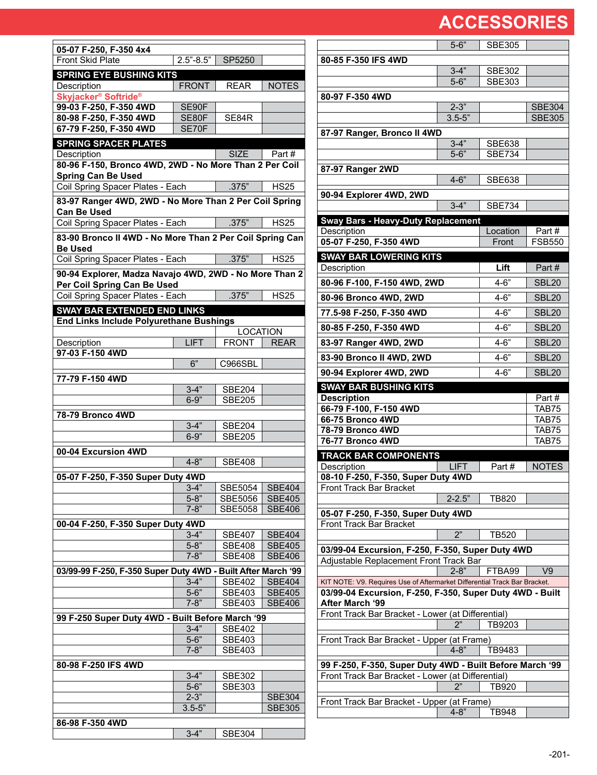$\Gamma$ 

| 05-07 F-250, F-350 4x4                                                               |                      |                                  |                                |
|--------------------------------------------------------------------------------------|----------------------|----------------------------------|--------------------------------|
| <b>Front Skid Plate</b>                                                              | $2.5 - 8.5$ "        | SP5250                           |                                |
| <b>SPRING EYE BUSHING KITS</b>                                                       |                      |                                  |                                |
| Description                                                                          | <b>FRONT</b>         | <b>REAR</b>                      | <b>NOTES</b>                   |
| Skyjacker <sup>®</sup> Softride <sup>®</sup>                                         |                      |                                  |                                |
| 99-03 F-250, F-350 4WD                                                               | SE90F                |                                  |                                |
| 80-98 F-250, F-350 4WD<br>67-79 F-250, F-350 4WD                                     | SE80F<br>SE70F       | SE84R                            |                                |
|                                                                                      |                      |                                  |                                |
| <b>SPRING SPACER PLATES</b><br>Description                                           |                      | <b>SIZE</b>                      | Part #                         |
| 80-96 F-150, Bronco 4WD, 2WD - No More Than 2 Per Coil                               |                      |                                  |                                |
| <b>Spring Can Be Used</b>                                                            |                      |                                  |                                |
| Coil Spring Spacer Plates - Each                                                     |                      | .375"                            | <b>HS25</b>                    |
| 83-97 Ranger 4WD, 2WD - No More Than 2 Per Coil Spring                               |                      |                                  |                                |
| <b>Can Be Used</b>                                                                   |                      |                                  |                                |
| Coil Spring Spacer Plates - Each                                                     |                      | .375"                            | <b>HS25</b>                    |
| 83-90 Bronco II 4WD - No More Than 2 Per Coil Spring Can                             |                      |                                  |                                |
| <b>Be Used</b><br>Coil Spring Spacer Plates - Each                                   |                      | .375"                            | <b>HS25</b>                    |
|                                                                                      |                      |                                  |                                |
| 90-94 Explorer, Madza Navajo 4WD, 2WD - No More Than 2                               |                      |                                  |                                |
| Per Coil Spring Can Be Used<br>Coil Spring Spacer Plates - Each                      |                      | .375"                            | <b>HS25</b>                    |
|                                                                                      |                      |                                  |                                |
| <b>SWAY BAR EXTENDED END LINKS</b><br><b>End Links Include Polyurethane Bushings</b> |                      |                                  |                                |
|                                                                                      |                      | <b>LOCATION</b>                  |                                |
| Description                                                                          | <b>LIFT</b>          | <b>FRONT</b>                     | <b>REAR</b>                    |
| 97-03 F-150 4WD                                                                      |                      |                                  |                                |
|                                                                                      | 6"                   | C966SBL                          |                                |
| 77-79 F-150 4WD                                                                      |                      |                                  |                                |
|                                                                                      | $3-4"$               | <b>SBE204</b>                    |                                |
|                                                                                      | $6 - 9"$             | <b>SBE205</b>                    |                                |
| 78-79 Bronco 4WD                                                                     |                      |                                  |                                |
|                                                                                      | $3 - 4"$             | <b>SBE204</b>                    |                                |
|                                                                                      | $6 - 9"$             | <b>SBE205</b>                    |                                |
| 00-04 Excursion 4WD                                                                  |                      |                                  |                                |
|                                                                                      | $4 - 8"$             | <b>SBE408</b>                    |                                |
| 05-07 F-250, F-350 Super Duty 4WD                                                    |                      |                                  |                                |
|                                                                                      | $3 - 4"$             | SBE5054                          | <b>SBE404</b>                  |
|                                                                                      | $5 - 8"$<br>$7 - 8"$ | <b>SBE5056</b><br><b>SBE5058</b> | <b>SBE405</b><br><b>SBE406</b> |
|                                                                                      |                      |                                  |                                |
| 00-04 F-250, F-350 Super Duty 4WD                                                    | $3 - 4"$             | SBE407                           | <b>SBE404</b>                  |
|                                                                                      | $5 - 8"$             | <b>SBE408</b>                    | <b>SBE405</b>                  |
|                                                                                      | $7-8"$               | <b>SBE408</b>                    | <b>SBE406</b>                  |
| 03/99-99 F-250, F-350 Super Duty 4WD - Built After March '99                         |                      |                                  |                                |
|                                                                                      | $3-4"$               | <b>SBE402</b>                    | <b>SBE404</b>                  |
|                                                                                      | $5 - 6$              | <b>SBE403</b>                    | <b>SBE405</b>                  |
|                                                                                      | $7 - 8"$             | <b>SBE403</b>                    | <b>SBE406</b>                  |
| 99 F-250 Super Duty 4WD - Built Before March '99                                     |                      |                                  |                                |
|                                                                                      | $3-4"$               | <b>SBE402</b>                    |                                |
|                                                                                      | $5 - 6"$             | <b>SBE403</b>                    |                                |
|                                                                                      | $7 - 8"$             | <b>SBE403</b>                    |                                |
| 80-98 F-250 IFS 4WD                                                                  |                      |                                  |                                |
|                                                                                      | $3-4"$               | <b>SBE302</b>                    |                                |
|                                                                                      | $5-6"$<br>$2 - 3"$   | <b>SBE303</b>                    | <b>SBE304</b>                  |
|                                                                                      | $3.5 - 5"$           |                                  | <b>SBE305</b>                  |
| 86-98 F-350 4WD                                                                      |                      |                                  |                                |
|                                                                                      | $3 - 4"$             | <b>SBE304</b>                    |                                |
|                                                                                      |                      |                                  |                                |

|                                                                                                                                       | $5 - 6"$    | <b>SBE305</b>     |                        |
|---------------------------------------------------------------------------------------------------------------------------------------|-------------|-------------------|------------------------|
| 80-85 F-350 IFS 4WD                                                                                                                   |             |                   |                        |
|                                                                                                                                       | $3-4"$      | <b>SBE302</b>     |                        |
|                                                                                                                                       | $5 - 6"$    | <b>SBE303</b>     |                        |
| 80-97 F-350 4WD                                                                                                                       |             |                   |                        |
|                                                                                                                                       | $2 - 3"$    |                   | <b>SBE304</b>          |
|                                                                                                                                       | $3.5 - 5"$  |                   | <b>SBE305</b>          |
| 87-97 Ranger, Bronco II 4WD                                                                                                           |             |                   |                        |
|                                                                                                                                       | $3 - 4"$    | <b>SBE638</b>     |                        |
|                                                                                                                                       | $5 - 6"$    | <b>SBE734</b>     |                        |
| 87-97 Ranger 2WD                                                                                                                      |             |                   |                        |
|                                                                                                                                       | $4 - 6"$    | <b>SBE638</b>     |                        |
| 90-94 Explorer 4WD, 2WD                                                                                                               |             |                   |                        |
|                                                                                                                                       | $3 - 4"$    | <b>SBE734</b>     |                        |
| <b>Sway Bars - Heavy-Duty Replacement</b>                                                                                             |             |                   |                        |
| Description<br>05-07 F-250, F-350 4WD                                                                                                 |             | Location<br>Front | Part#<br><b>FSB550</b> |
|                                                                                                                                       |             |                   |                        |
| <b>SWAY BAR LOWERING KITS</b><br>Description                                                                                          |             | Lift              | Part#                  |
|                                                                                                                                       |             |                   |                        |
| 80-96 F-100, F-150 4WD, 2WD                                                                                                           |             | $4 - 6$           | <b>SBL20</b>           |
| 80-96 Bronco 4WD, 2WD                                                                                                                 |             | $4 - 6"$          | <b>SBL20</b>           |
| 77.5-98 F-250, F-350 4WD                                                                                                              |             | $4 - 6"$          | <b>SBL20</b>           |
| 80-85 F-250, F-350 4WD                                                                                                                |             | $4 - 6"$          | <b>SBL20</b>           |
| 83-97 Ranger 4WD, 2WD                                                                                                                 |             | $4 - 6"$          | <b>SBL20</b>           |
| 83-90 Bronco II 4WD, 2WD                                                                                                              |             | $4 - 6"$          | <b>SBL20</b>           |
|                                                                                                                                       |             |                   |                        |
|                                                                                                                                       |             |                   |                        |
| 90-94 Explorer 4WD, 2WD                                                                                                               |             | $4 - 6"$          | <b>SBL20</b>           |
| <b>SWAY BAR BUSHING KITS</b>                                                                                                          |             |                   | Part#                  |
| <b>Description</b><br>66-79 F-100, F-150 4WD                                                                                          |             |                   | TAB75                  |
| 66-75 Bronco 4WD                                                                                                                      |             |                   | TAB75                  |
| 78-79 Bronco 4WD                                                                                                                      |             |                   | TAB75                  |
| 76-77 Bronco 4WD                                                                                                                      |             |                   | TAB75                  |
| <b>TRACK BAR COMPONENTS</b>                                                                                                           |             |                   |                        |
| Description                                                                                                                           | <b>LIFT</b> | Part#             | <b>NOTES</b>           |
| 08-10 F-250, F-350, Super Duty 4WD<br><b>Front Track Bar Bracket</b>                                                                  |             |                   |                        |
|                                                                                                                                       | $2 - 2.5"$  | TB820             |                        |
| 05-07 F-250, F-350, Super Duty 4WD                                                                                                    |             |                   |                        |
| Front Track Bar Bracket                                                                                                               |             |                   |                        |
|                                                                                                                                       | 2"          | TB520             |                        |
| 03/99-04 Excursion, F-250, F-350, Super Duty 4WD                                                                                      |             |                   |                        |
| Adjustable Replacement Front Track Bar                                                                                                |             |                   |                        |
|                                                                                                                                       | $2 - 8"$    | FTBA99            | V9                     |
| KIT NOTE: V9. Requires Use of Aftermarket Differential Track Bar Bracket.<br>03/99-04 Excursion, F-250, F-350, Super Duty 4WD - Built |             |                   |                        |
| <b>After March '99</b>                                                                                                                |             |                   |                        |
| Front Track Bar Bracket - Lower (at Differential)                                                                                     |             |                   |                        |
|                                                                                                                                       | 2"          | TB9203            |                        |
| Front Track Bar Bracket - Upper (at Frame)                                                                                            |             |                   |                        |
|                                                                                                                                       | $4 - 8"$    | TB9483            |                        |
| 99 F-250, F-350, Super Duty 4WD - Built Before March '99                                                                              |             |                   |                        |
| Front Track Bar Bracket - Lower (at Differential)                                                                                     | 2"          | TB920             |                        |
| Front Track Bar Bracket - Upper (at Frame)                                                                                            |             |                   |                        |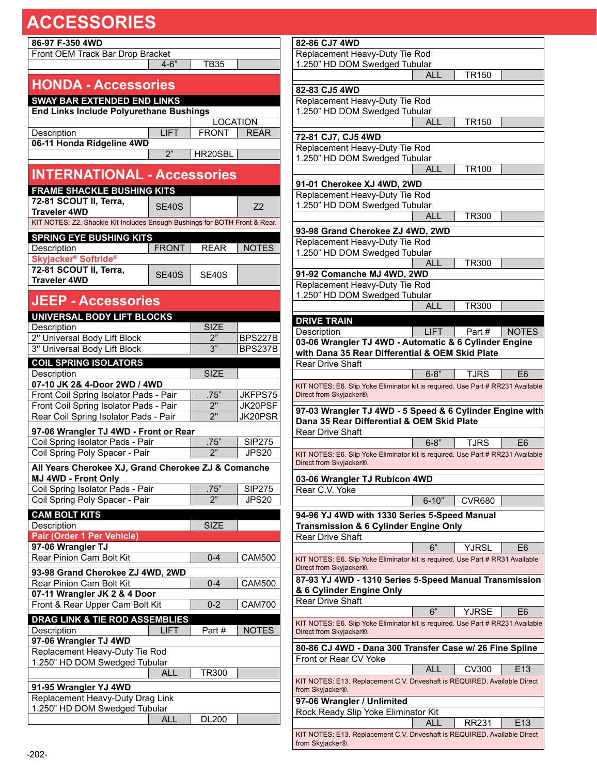| 86-97 F-350 4WD<br>Front OEM Track Bar Drop Bracket                                               |              |                 |                |
|---------------------------------------------------------------------------------------------------|--------------|-----------------|----------------|
|                                                                                                   | $4 - 6"$     | <b>TB35</b>     |                |
|                                                                                                   |              |                 |                |
| <b>HONDA - Accessories</b>                                                                        |              |                 |                |
| <b>SWAY BAR EXTENDED END LINKS</b>                                                                |              |                 |                |
| <b>End Links Include Polyurethane Bushings</b>                                                    |              |                 |                |
|                                                                                                   |              | <b>LOCATION</b> |                |
| Description                                                                                       | LIFT         | <b>FRONT</b>    | <b>REAR</b>    |
| 06-11 Honda Ridgeline 4WD                                                                         |              |                 |                |
|                                                                                                   | 2"           | HR20SBL         |                |
| <b>INTERNATIONAL - Accessories</b>                                                                |              |                 |                |
|                                                                                                   |              |                 |                |
| <b>FRAME SHACKLE BUSHING KITS</b>                                                                 |              |                 |                |
| 72-81 SCOUT II, Terra,                                                                            | <b>SE40S</b> |                 | Z <sub>2</sub> |
| <b>Traveler 4WD</b><br>KIT NOTES: Z2. Shackle Kit Includes Enough Bushings for BOTH Front & Rear. |              |                 |                |
|                                                                                                   |              |                 |                |
| <b>SPRING EYE BUSHING KITS</b>                                                                    |              |                 |                |
| Description<br>Skyjacker <sup>®</sup> Softride <sup>®</sup>                                       | <b>FRONT</b> | <b>REAR</b>     | <b>NOTES</b>   |
| 72-81 SCOUT II, Terra,                                                                            |              |                 |                |
| <b>Traveler 4WD</b>                                                                               | <b>SE40S</b> | SE40S           |                |
|                                                                                                   |              |                 |                |
| <b>JEEP - Accessories</b>                                                                         |              |                 |                |
| <b>UNIVERSAL BODY LIFT BLOCKS</b>                                                                 |              |                 |                |
| Description                                                                                       |              | <b>SIZE</b>     |                |
| 2" Universal Body Lift Block                                                                      |              | 2"              | <b>BPS227B</b> |
| 3" Universal Body Lift Block                                                                      |              | 3"              | <b>BPS237B</b> |
| <b>COIL SPRING ISOLATORS</b>                                                                      |              |                 |                |
| Description                                                                                       |              | <b>SIZE</b>     |                |
| 07-10 JK 2& 4-Door 2WD / 4WD                                                                      |              |                 |                |
| Front Coil Spring Isolator Pads - Pair                                                            |              | .75"            | JKFPS75        |
| Front Coil Spring Isolator Pads - Pair                                                            |              | 2"              | JK20PSF        |
| Rear Coil Spring Isolator Pads - Pair                                                             |              | 2"              | <b>JK20PSR</b> |
| 97-06 Wrangler TJ 4WD - Front or Rear                                                             |              |                 |                |
| Coil Spring Isolator Pads - Pair                                                                  |              | .75"            | <b>SIP275</b>  |
| Coil Spring Poly Spacer - Pair                                                                    |              | 2"              | <b>JPS20</b>   |
| All Years Cherokee XJ, Grand Cherokee ZJ & Comanche                                               |              |                 |                |
| MJ 4WD - Front Only                                                                               |              |                 |                |
| Coil Spring Isolator Pads - Pair                                                                  |              | .75"            | <b>SIP275</b>  |
| Coil Spring Poly Spacer - Pair                                                                    |              | 2"              | <b>JPS20</b>   |
| <b>CAM BOLT KITS</b>                                                                              |              |                 |                |
| Description                                                                                       |              | <b>SIZE</b>     |                |
| Pair (Order 1 Per Vehicle)                                                                        |              |                 |                |
| 97-06 Wrangler TJ<br>Rear Pinion Cam Bolt Kit                                                     |              | $0 - 4$         | <b>CAM500</b>  |
|                                                                                                   |              |                 |                |
| 93-98 Grand Cherokee ZJ 4WD, 2WD                                                                  |              |                 |                |
| Rear Pinion Cam Bolt Kit                                                                          |              | $0 - 4$         | <b>CAM500</b>  |
| 07-11 Wrangler JK 2 & 4 Door<br>Front & Rear Upper Cam Bolt Kit                                   |              | $0 - 2$         | <b>CAM700</b>  |
|                                                                                                   |              |                 |                |
| DRAG LINK & TIE ROD ASSEMBLIES                                                                    |              |                 |                |
| Description<br>97-06 Wrangler TJ 4WD                                                              | <b>LIFT</b>  | Part#           | <b>NOTES</b>   |
| Replacement Heavy-Duty Tie Rod                                                                    |              |                 |                |
| 1.250" HD DOM Swedged Tubular                                                                     |              |                 |                |
|                                                                                                   | ALL          | <b>TR300</b>    |                |
| 91-95 Wrangler YJ 4WD                                                                             |              |                 |                |
| Replacement Heavy-Duty Drag Link                                                                  |              |                 |                |
| 1.250" HD DOM Swedged Tubular                                                                     |              |                 |                |
|                                                                                                   | <b>ALL</b>   | <b>DL200</b>    |                |

| 82-86 CJ7 4WD                                                                   |             |                    |                 |
|---------------------------------------------------------------------------------|-------------|--------------------|-----------------|
| Replacement Heavy-Duty Tie Rod                                                  |             |                    |                 |
| 1.250" HD DOM Swedged Tubular                                                   |             |                    |                 |
|                                                                                 | <b>ALL</b>  | TR150              |                 |
| 82-83 CJ5 4WD                                                                   |             |                    |                 |
| Replacement Heavy-Duty Tie Rod                                                  |             |                    |                 |
| 1.250" HD DOM Swedged Tubular                                                   |             |                    |                 |
|                                                                                 | ALL         | TR150              |                 |
|                                                                                 |             |                    |                 |
| 72-81 CJ7, CJ5 4WD                                                              |             |                    |                 |
| Replacement Heavy-Duty Tie Rod                                                  |             |                    |                 |
| 1.250" HD DOM Swedged Tubular                                                   |             |                    |                 |
|                                                                                 | <b>ALL</b>  | TR100              |                 |
| 91-01 Cherokee XJ 4WD, 2WD                                                      |             |                    |                 |
| Replacement Heavy-Duty Tie Rod                                                  |             |                    |                 |
| 1.250" HD DOM Swedged Tubular                                                   |             |                    |                 |
|                                                                                 | ALL         | TR300              |                 |
| 93-98 Grand Cherokee ZJ 4WD, 2WD                                                |             |                    |                 |
| Replacement Heavy-Duty Tie Rod                                                  |             |                    |                 |
|                                                                                 |             |                    |                 |
| 1.250" HD DOM Swedged Tubular                                                   | ALL         | TR300              |                 |
|                                                                                 |             |                    |                 |
| 91-92 Comanche MJ 4WD, 2WD                                                      |             |                    |                 |
| Replacement Heavy-Duty Tie Rod                                                  |             |                    |                 |
| 1.250" HD DOM Swedged Tubular                                                   | AI I        |                    |                 |
|                                                                                 |             | TR300              |                 |
| <b>DRIVE TRAIN</b>                                                              |             |                    |                 |
| Description                                                                     | <b>LIFT</b> | Part#              | <b>NOTES</b>    |
| 03-06 Wrangler TJ 4WD - Automatic & 6 Cylinder Engine                           |             |                    |                 |
| with Dana 35 Rear Differential & OEM Skid Plate                                 |             |                    |                 |
| Rear Drive Shaft                                                                |             |                    |                 |
|                                                                                 | $6 - 8"$    | TJRS               | E6              |
| KIT NOTES: E6. Slip Yoke Eliminator kit is required. Use Part # RR231 Available |             |                    |                 |
| Direct from Skyjacker®.                                                         |             |                    |                 |
| 97-03 Wrangler TJ 4WD - 5 Speed & 6 Cylinder Engine with                        |             |                    |                 |
| Dana 35 Rear Differential & OEM Skid Plate                                      |             |                    |                 |
| Rear Drive Shaft                                                                |             |                    |                 |
|                                                                                 | $6 - 8"$    | TJRS               | E6              |
| KIT NOTES: E6. Slip Yoke Eliminator kit is required. Use Part # RR231 Available |             |                    |                 |
| Direct from Skyjacker®.                                                         |             |                    |                 |
|                                                                                 |             |                    |                 |
| 03-06 Wrangler TJ Rubicon 4WD                                                   |             |                    |                 |
| Rear C.V. Yoke                                                                  |             |                    |                 |
|                                                                                 | $6 - 10"$   | CVR680             |                 |
| 94-96 YJ 4WD with 1330 Series 5-Speed Manual                                    |             |                    |                 |
| <b>Transmission &amp; 6 Cylinder Engine Only</b>                                |             |                    |                 |
| <b>Rear Drive Shaft</b>                                                         |             |                    |                 |
|                                                                                 | 6"          | YJRSL              | E6              |
| KIT NOTES: E6. Slip Yoke Eliminator kit is required. Use Part # RR31 Available  |             |                    |                 |
| Direct from Skyjacker®.                                                         |             |                    |                 |
| 87-93 YJ 4WD - 1310 Series 5-Speed Manual Transmission                          |             |                    |                 |
| & 6 Cylinder Engine Only                                                        |             |                    |                 |
| <b>Rear Drive Shaft</b>                                                         |             |                    |                 |
|                                                                                 |             |                    |                 |
| KIT NOTES: E6. Slip Yoke Eliminator kit is required. Use Part # RR231 Available |             | YJRSE              | E6              |
|                                                                                 | 6"          |                    |                 |
| Direct from Skyjacker®.                                                         |             |                    |                 |
|                                                                                 |             |                    |                 |
| 80-86 CJ 4WD - Dana 300 Transfer Case w/ 26 Fine Spline                         |             |                    |                 |
| Front or Rear CV Yoke                                                           |             |                    |                 |
|                                                                                 | ALL         | $\overline{C}V300$ | E <sub>13</sub> |
| KIT NOTES: E13. Replacement C.V. Driveshaft is REQUIRED. Available Direct       |             |                    |                 |
| from Skyjacker®.                                                                |             |                    |                 |
| 97-06 Wrangler / Unlimited                                                      |             |                    |                 |
| Rock Ready Slip Yoke Eliminator Kit                                             |             |                    |                 |
| KIT NOTES: E13. Replacement C.V. Driveshaft is REQUIRED. Available Direct       | ALL         | RR231              | E <sub>13</sub> |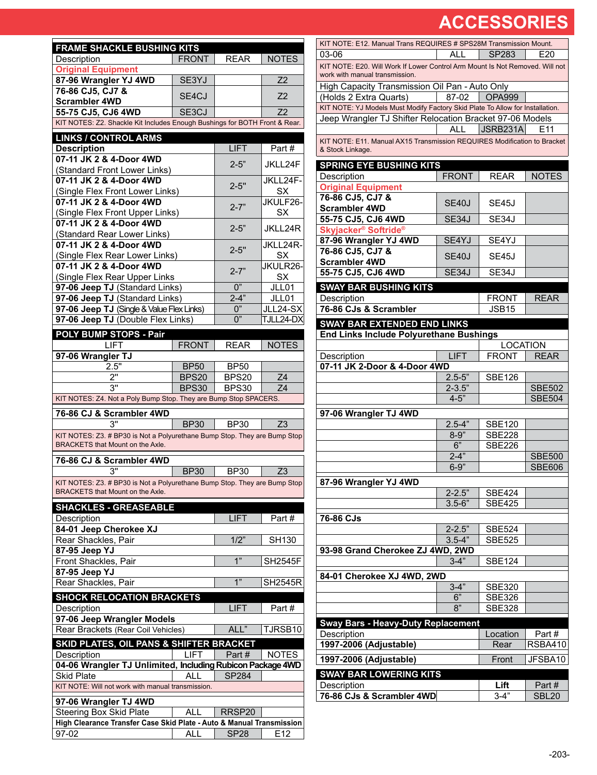| <b>FRAME SHACKLE BUSHING KITS</b>                                          |                             |                                  |                 |
|----------------------------------------------------------------------------|-----------------------------|----------------------------------|-----------------|
| Description                                                                | <b>FRONT</b>                | <b>REAR</b>                      | <b>NOTES</b>    |
| <b>Original Equipment</b>                                                  |                             |                                  |                 |
| 87-96 Wrangler YJ 4WD                                                      | SE3YJ                       |                                  | Z2              |
| 76-86 CJ5, CJ7 &                                                           | SF <sub>4</sub> CJ          |                                  | Z <sub>2</sub>  |
| <b>Scrambler 4WD</b>                                                       |                             |                                  |                 |
| 55-75 CJ5, CJ6 4WD                                                         | SE3CJ                       |                                  | Z <sub>2</sub>  |
| KIT NOTES: Z2. Shackle Kit Includes Enough Bushings for BOTH Front & Rear. |                             |                                  |                 |
| <b>LINKS / CONTROL ARMS</b>                                                |                             |                                  |                 |
| <b>Description</b>                                                         |                             | <b>LIFT</b>                      | Part#           |
| 07-11 JK 2 & 4-Door 4WD                                                    |                             | $2 - 5"$                         | JKLL24F         |
| (Standard Front Lower Links)<br>07-11 JK 2 & 4-Door 4WD                    |                             |                                  | JKLL24F-        |
| (Single Flex Front Lower Links)                                            |                             | $2 - 5"$                         | SX              |
| 07-11 JK 2 & 4-Door 4WD                                                    |                             |                                  | JKULF26-        |
| (Single Flex Front Upper Links)                                            |                             | $2 - 7"$                         | SX              |
| 07-11 JK 2 & 4-Door 4WD                                                    |                             |                                  |                 |
| (Standard Rear Lower Links)                                                |                             | $2 - 5"$                         | JKLL24R         |
| 07-11 JK 2 & 4-Door 4WD                                                    |                             | $2 - 5"$                         | JKLL24R-        |
| (Single Flex Rear Lower Links)                                             |                             |                                  | SX              |
| 07-11 JK 2 & 4-Door 4WD                                                    |                             | $2 - 7"$                         | JKULR26-        |
| (Single Flex Rear Upper Links                                              |                             |                                  | SX              |
| 97-06 Jeep TJ (Standard Links)                                             |                             | 0"                               | JLL01           |
| 97-06 Jeep TJ (Standard Links)                                             |                             | $2 - 4"$                         | JLL01           |
| 97-06 Jeep TJ (Single & Value Flex Links)                                  |                             | 0"<br>0"                         | JLL24-SX        |
| 97-06 Jeep TJ (Double Flex Links)                                          |                             |                                  | TJLL24-DX       |
| POLY BUMP STOPS - Pair                                                     |                             |                                  |                 |
| LIFT                                                                       | <b>FRONT</b>                | <b>REAR</b>                      | <b>NOTES</b>    |
| 97-06 Wrangler TJ<br>2.5"                                                  |                             |                                  |                 |
| 2"                                                                         | <b>BP50</b><br><b>BPS20</b> | <b>BP50</b><br>BPS <sub>20</sub> | Z4              |
| 3"                                                                         | <b>BPS30</b>                | <b>BPS30</b>                     | Ζ4              |
| KIT NOTES: Z4. Not a Poly Bump Stop. They are Bump Stop SPACERS.           |                             |                                  |                 |
|                                                                            |                             |                                  |                 |
| 76-86 CJ & Scrambler 4WD<br>3"                                             | <b>BP30</b>                 | <b>BP30</b>                      | Z <sub>3</sub>  |
| KIT NOTES: Z3. # BP30 is Not a Polyurethane Bump Stop. They are Bump Stop  |                             |                                  |                 |
| BRACKETS that Mount on the Axle.                                           |                             |                                  |                 |
| 76-86 CJ & Scrambler 4WD                                                   |                             |                                  |                 |
| 3"                                                                         | <b>BP30</b>                 | <b>BP30</b>                      | Z <sub>3</sub>  |
| KIT NOTES: Z3. # BP30 is Not a Polyurethane Bump Stop. They are Bump Stop  |                             |                                  |                 |
| BRACKETS that Mount on the Axle.                                           |                             |                                  |                 |
| <b>SHACKLES - GREASEABLE</b>                                               |                             |                                  |                 |
| Description                                                                |                             | <b>LIFT</b>                      | Part#           |
| 84-01 Jeep Cherokee XJ                                                     |                             |                                  |                 |
| Rear Shackles, Pair                                                        |                             | 1/2"                             | <b>SH130</b>    |
| 87-95 Jeep YJ                                                              |                             |                                  |                 |
| Front Shackles, Pair                                                       |                             | 1"                               | <b>SH2545F</b>  |
| 87-95 Jeep YJ                                                              |                             |                                  |                 |
| Rear Shackles, Pair                                                        |                             | 1"                               | <b>SH2545R</b>  |
| <b>SHOCK RELOCATION BRACKETS</b>                                           |                             |                                  |                 |
| Description                                                                |                             | <b>LIFT</b>                      | Part#           |
| 97-06 Jeep Wrangler Models                                                 |                             |                                  |                 |
| Rear Brackets (Rear Coil Vehicles)                                         |                             | ALL"                             | TJRSB10         |
| SKID PLATES, OIL PANS & SHIFTER BRACKET                                    |                             |                                  |                 |
| Description                                                                | <b>LIFT</b>                 | Part#                            | <b>NOTES</b>    |
| 04-06 Wrangler TJ Unlimited, Including Rubicon Package 4WD                 |                             |                                  |                 |
| <b>Skid Plate</b>                                                          | AII                         | <b>SP284</b>                     |                 |
| KIT NOTE: Will not work with manual transmission.                          |                             |                                  |                 |
| 97-06 Wrangler TJ 4WD                                                      |                             |                                  |                 |
| Steering Box Skid Plate                                                    | <b>ALL</b>                  | RRSP20                           |                 |
| High Clearance Transfer Case Skid Plate - Auto & Manual Transmission       |                             |                                  |                 |
| 97-02                                                                      | ALL                         | <b>SP28</b>                      | E <sub>12</sub> |
|                                                                            |                             |                                  |                 |

| KIT NOTE: E12. Manual Trans REQUIRES # SPS28M Transmission Mount.                                              |              |                                   |                 |  |
|----------------------------------------------------------------------------------------------------------------|--------------|-----------------------------------|-----------------|--|
| 03-06                                                                                                          | ALL          | SP283                             | E20             |  |
| KIT NOTE: E20. Will Work If Lower Control Arm Mount Is Not Removed. Will not<br>work with manual transmission. |              |                                   |                 |  |
| High Capacity Transmission Oil Pan - Auto Only                                                                 |              |                                   |                 |  |
| (Holds 2 Extra Quarts)                                                                                         | 87-02        | <b>OPA999</b>                     |                 |  |
| KIT NOTE: YJ Models Must Modify Factory Skid Plate To Allow for Installation.                                  |              |                                   |                 |  |
| Jeep Wrangler TJ Shifter Relocation Bracket 97-06 Models                                                       |              |                                   |                 |  |
|                                                                                                                | ALL          | JSRB231A                          | F <sub>11</sub> |  |
| KIT NOTE: E11. Manual AX15 Transmission REQUIRES Modification to Bracket<br>& Stock Linkage.                   |              |                                   |                 |  |
| <b>SPRING EYE BUSHING KITS</b>                                                                                 |              |                                   |                 |  |
| Description                                                                                                    | <b>FRONT</b> | <b>REAR</b>                       | <b>NOTES</b>    |  |
| <b>Original Equipment</b>                                                                                      |              |                                   |                 |  |
| 76-86 CJ5, CJ7 &                                                                                               | SE40J        | SE45J                             |                 |  |
| <b>Scrambler 4WD</b>                                                                                           |              |                                   |                 |  |
| 55-75 CJ5, CJ6 4WD                                                                                             | <b>SE34J</b> | SE34J                             |                 |  |
| Skyjacker <sup>®</sup> Softride <sup>®</sup>                                                                   |              |                                   |                 |  |
| 87-96 Wrangler YJ 4WD<br>76-86 CJ5, CJ7 &                                                                      | SE4YJ        | SE4YJ                             |                 |  |
| <b>Scrambler 4WD</b>                                                                                           | <b>SE40J</b> | SE45J                             |                 |  |
| 55-75 CJ5, CJ6 4WD                                                                                             | <b>SE34J</b> | SE34J                             |                 |  |
|                                                                                                                |              |                                   |                 |  |
| <b>SWAY BAR BUSHING KITS</b>                                                                                   |              |                                   |                 |  |
| Description<br>76-86 CJs & Scrambler                                                                           |              | <b>FRONT</b><br>JSB <sub>15</sub> | REAR            |  |
|                                                                                                                |              |                                   |                 |  |
| <b>SWAY BAR EXTENDED END LINKS</b>                                                                             |              |                                   |                 |  |
| <b>End Links Include Polyurethane Bushings</b>                                                                 |              |                                   |                 |  |
|                                                                                                                |              | <b>LOCATION</b>                   |                 |  |
| Description<br>07-11 JK 2-Door & 4-Door 4WD                                                                    | <b>LIFT</b>  | <b>FRONT</b>                      | <b>REAR</b>     |  |
|                                                                                                                | $2.5 - 5"$   | <b>SBE126</b>                     |                 |  |
|                                                                                                                | $2 - 3.5"$   |                                   | <b>SBE502</b>   |  |
|                                                                                                                | $4 - 5"$     |                                   | <b>SBE504</b>   |  |
| 97-06 Wrangler TJ 4WD                                                                                          |              |                                   |                 |  |
|                                                                                                                | $2.5 - 4"$   | <b>SBE120</b>                     |                 |  |
|                                                                                                                | $8 - 9"$     | <b>SBE228</b>                     |                 |  |
|                                                                                                                | 6"           | <b>SBE226</b>                     |                 |  |
|                                                                                                                | $2 - 4"$     |                                   | <b>SBE500</b>   |  |
|                                                                                                                | $6 - 9$      |                                   | <b>SBE606</b>   |  |
| 87-96 Wrangler YJ 4WD                                                                                          |              |                                   |                 |  |
|                                                                                                                | $2 - 2.5"$   | <b>SBE424</b>                     |                 |  |
|                                                                                                                | $3.5 - 6"$   | <b>SBE425</b>                     |                 |  |
| 76-86 CJs                                                                                                      |              |                                   |                 |  |
|                                                                                                                | $2 - 2.5"$   | <b>SBE524</b>                     |                 |  |
|                                                                                                                | $3.5 - 4"$   | <b>SBE525</b>                     |                 |  |
| 93-98 Grand Cherokee ZJ 4WD, 2WD                                                                               |              |                                   |                 |  |
|                                                                                                                | $3-4"$       | <b>SBE124</b>                     |                 |  |
| 84-01 Cherokee XJ 4WD, 2WD                                                                                     |              |                                   |                 |  |
|                                                                                                                | $3-4"$       | <b>SBE320</b>                     |                 |  |
|                                                                                                                | 6"           | <b>SBE326</b>                     |                 |  |
|                                                                                                                | 8"           | <b>SBE328</b>                     |                 |  |
| <b>Sway Bars - Heavy-Duty Replacement</b>                                                                      |              |                                   |                 |  |
| Description                                                                                                    |              | Location                          | Part #          |  |
| 1997-2006 (Adjustable)                                                                                         |              | Rear                              | <b>RSBA410</b>  |  |
|                                                                                                                |              | Front                             | JFSBA10         |  |
| 1997-2006 (Adjustable)                                                                                         |              |                                   |                 |  |
| <b>SWAY BAR LOWERING KITS</b>                                                                                  |              |                                   |                 |  |
| Description<br>76-86 CJs & Scrambler 4WD                                                                       |              | Lift<br>$3 - 4$ "                 | Part#           |  |
|                                                                                                                |              |                                   | <b>SBL20</b>    |  |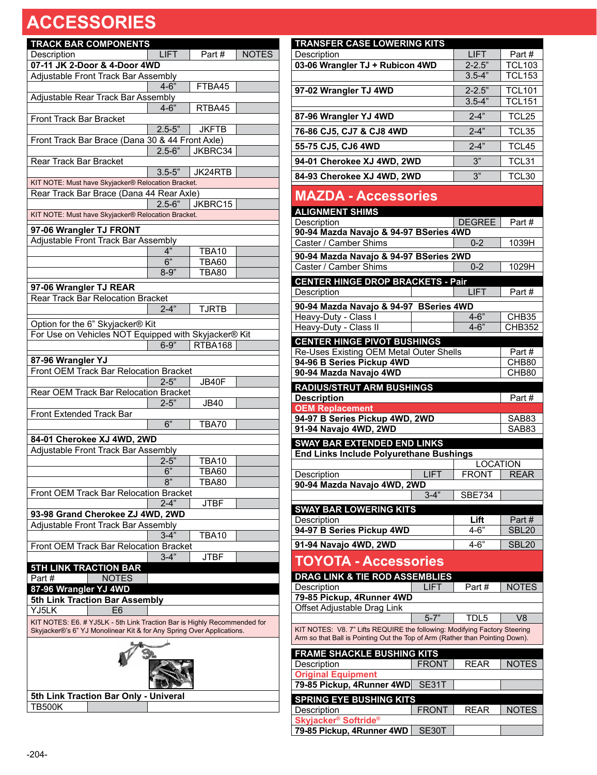| <b>TRACK BAR COMPONENTS</b>                                                                                                                       |                 |              |              |  |  |
|---------------------------------------------------------------------------------------------------------------------------------------------------|-----------------|--------------|--------------|--|--|
| Description                                                                                                                                       | <b>LIFT</b>     | Part#        | <b>NOTES</b> |  |  |
| 07-11 JK 2-Door & 4-Door 4WD                                                                                                                      |                 |              |              |  |  |
| Adjustable Front Track Bar Assembly                                                                                                               |                 |              |              |  |  |
|                                                                                                                                                   | $4 - 6"$        | FTBA45       |              |  |  |
| Adjustable Rear Track Bar Assembly                                                                                                                |                 |              |              |  |  |
|                                                                                                                                                   | $4 - 6"$        | RTBA45       |              |  |  |
| <b>Front Track Bar Bracket</b>                                                                                                                    | $2.5 - 5"$      |              |              |  |  |
| Front Track Bar Brace (Dana 30 & 44 Front Axle)                                                                                                   |                 | <b>JKFTB</b> |              |  |  |
|                                                                                                                                                   | $2.5 - 6"$      | JKBRC34      |              |  |  |
| Rear Track Bar Bracket                                                                                                                            |                 |              |              |  |  |
|                                                                                                                                                   | $3.5 - 5"$      | JK24RTB      |              |  |  |
| KIT NOTE: Must have Skyjacker® Relocation Bracket.                                                                                                |                 |              |              |  |  |
| Rear Track Bar Brace (Dana 44 Rear Axle)                                                                                                          |                 |              |              |  |  |
|                                                                                                                                                   | $2.5 - 6$       | JKBRC15      |              |  |  |
| KIT NOTE: Must have Skyjacker® Relocation Bracket.                                                                                                |                 |              |              |  |  |
| 97-06 Wrangler TJ FRONT                                                                                                                           |                 |              |              |  |  |
| Adjustable Front Track Bar Assembly                                                                                                               |                 |              |              |  |  |
|                                                                                                                                                   | 4"              | TBA10        |              |  |  |
|                                                                                                                                                   | 6"              | <b>TBA60</b> |              |  |  |
|                                                                                                                                                   | $8 - 9"$        | <b>TBA80</b> |              |  |  |
| 97-06 Wrangler TJ REAR                                                                                                                            |                 |              |              |  |  |
| Rear Track Bar Relocation Bracket                                                                                                                 |                 |              |              |  |  |
|                                                                                                                                                   | $2 - 4$         | <b>TJRTB</b> |              |  |  |
|                                                                                                                                                   |                 |              |              |  |  |
| Option for the 6" Skyjacker® Kit<br>For Use on Vehicles NOT Equipped with Skyjacker® Kit                                                          |                 |              |              |  |  |
|                                                                                                                                                   | $6 - 9"$        | RTBA168      |              |  |  |
|                                                                                                                                                   |                 |              |              |  |  |
| 87-96 Wrangler YJ                                                                                                                                 |                 |              |              |  |  |
| Front OEM Track Bar Relocation Bracket                                                                                                            |                 |              |              |  |  |
|                                                                                                                                                   | $2 - 5"$        | JB40F        |              |  |  |
| Rear OEM Track Bar Relocation Bracket                                                                                                             | $2 - 5"$        | <b>JB40</b>  |              |  |  |
| <b>Front Extended Track Bar</b>                                                                                                                   |                 |              |              |  |  |
|                                                                                                                                                   | $\overline{6"}$ | <b>TBA70</b> |              |  |  |
|                                                                                                                                                   |                 |              |              |  |  |
| 84-01 Cherokee XJ 4WD, 2WD<br>Adjustable Front Track Bar Assembly                                                                                 |                 |              |              |  |  |
|                                                                                                                                                   | $2 - 5"$        | <b>TBA10</b> |              |  |  |
|                                                                                                                                                   | 6"              | <b>TBA60</b> |              |  |  |
|                                                                                                                                                   | 8"              | TBA80        |              |  |  |
| Front OEM Track Bar Relocation Bracket                                                                                                            |                 |              |              |  |  |
|                                                                                                                                                   | $2 - 4"$        | JTBF         |              |  |  |
| 93-98 Grand Cherokee ZJ 4WD, 2WD                                                                                                                  |                 |              |              |  |  |
| Adjustable Front Track Bar Assembly                                                                                                               |                 |              |              |  |  |
|                                                                                                                                                   | 3-4"            | TBA10        |              |  |  |
| Front OEM Track Bar Relocation Bracket                                                                                                            |                 |              |              |  |  |
|                                                                                                                                                   | $3 - 4"$        | <b>JTBF</b>  |              |  |  |
| <b>5TH LINK TRACTION BAR</b>                                                                                                                      |                 |              |              |  |  |
| <b>NOTES</b><br>Part#                                                                                                                             |                 |              |              |  |  |
| 87-96 Wrangler YJ 4WD                                                                                                                             |                 |              |              |  |  |
| 5th Link Traction Bar Assembly                                                                                                                    |                 |              |              |  |  |
| YJ5LK<br>E6                                                                                                                                       |                 |              |              |  |  |
| KIT NOTES: E6. # YJ5LK - 5th Link Traction Bar is Highly Recommended for<br>Skyjacker®'s 6" YJ Monolinear Kit & for Any Spring Over Applications. |                 |              |              |  |  |
|                                                                                                                                                   |                 |              |              |  |  |
| 5th Link Traction Bar Only - Univeral                                                                                                             |                 |              |              |  |  |
| TB500K                                                                                                                                            |                 |              |              |  |  |

| <b>TRANSFER CASE LOWERING KITS</b>                                           |                      |                                    |
|------------------------------------------------------------------------------|----------------------|------------------------------------|
| Description                                                                  | <b>LIFT</b>          | Part#                              |
| 03-06 Wrangler TJ + Rubicon 4WD                                              | $2 - 2.5"$           | <b>TCL103</b>                      |
|                                                                              | $3.5 - 4"$           | <b>TCL153</b>                      |
| 97-02 Wrangler TJ 4WD                                                        | $2 - 2.5"$           | <b>TCL101</b>                      |
|                                                                              | $3.5 - 4"$           | <b>TCL151</b>                      |
| 87-96 Wrangler YJ 4WD                                                        | $2 - 4$              | TCL25                              |
| 76-86 CJ5, CJ7 & CJ8 4WD                                                     | $2 - 4"$             | TCL35                              |
| 55-75 CJ5, CJ6 4WD                                                           | $2 - 4"$             | TCL45                              |
| 94-01 Cherokee XJ 4WD, 2WD                                                   | 3"                   | TCL31                              |
| 84-93 Cherokee XJ 4WD, 2WD                                                   | 3"                   | TCL30                              |
|                                                                              |                      |                                    |
| <b>MAZDA - Accessories</b>                                                   |                      |                                    |
| <b>ALIGNMENT SHIMS</b>                                                       |                      | Part #                             |
| Description<br>90-94 Mazda Navajo & 94-97 BSeries 4WD                        | DEGREE               |                                    |
| Caster / Camber Shims                                                        | $0 - 2$              | 1039H                              |
| 90-94 Mazda Navajo & 94-97 BSeries 2WD                                       |                      |                                    |
| Caster / Camber Shims                                                        | $0 - 2$              | 1029H                              |
| <b>CENTER HINGE DROP BRACKETS - Pair</b>                                     |                      |                                    |
| Description                                                                  | LIFT                 | Part#                              |
| 90-94 Mazda Navajo & 94-97 BSeries 4WD                                       |                      |                                    |
| Heavy-Duty - Class I<br>Heavy-Duty - Class II                                | $4 - 6"$<br>$4 - 6"$ | CHB <sub>35</sub><br><b>CHB352</b> |
| <b>CENTER HINGE PIVOT BUSHINGS</b>                                           |                      |                                    |
| Re-Uses Existing OEM Metal Outer Shells                                      |                      | Part#                              |
| 94-96 B Series Pickup 4WD                                                    |                      | CHB80                              |
| 90-94 Mazda Navajo 4WD                                                       |                      | CHB80                              |
|                                                                              |                      |                                    |
| <b>RADIUS/STRUT ARM BUSHINGS</b>                                             |                      |                                    |
| <b>Description</b>                                                           |                      | Part#                              |
| <b>OEM Replacement</b>                                                       |                      | SAB83                              |
| 94-97 B Series Pickup 4WD, 2WD<br>91-94 Navajo 4WD, 2WD                      |                      | SAB83                              |
| <b>SWAY BAR EXTENDED END LINKS</b>                                           |                      |                                    |
| <b>End Links Include Polyurethane Bushings</b>                               |                      |                                    |
|                                                                              |                      | LOCATION                           |
| LIFT<br>Description<br>90-94 Mazda Navajo 4WD, 2WD                           | <b>FRONT</b>         | <b>REAR</b>                        |
| $3 - 4$                                                                      | SBE734               |                                    |
| <b>SWAY BAR LOWERING KITS</b>                                                |                      |                                    |
| Description                                                                  | Lift                 | Part#                              |
| 94-97 B Series Pickup 4WD                                                    | $4 - 6"$             | <b>SBL20</b>                       |
| 91-94 Navajo 4WD, 2WD                                                        | $4 - 6$              | <b>SBL20</b>                       |
| <b>TOYOTA - Accessories</b>                                                  |                      |                                    |
| DRAG LINK & TIE ROD ASSEMBLIES                                               |                      |                                    |
| <b>LIFT</b><br>Description                                                   | Part#                | <b>NOTES</b>                       |
| 79-85 Pickup, 4Runner 4WD                                                    |                      |                                    |
| Offset Adjustable Drag Link<br>$5 - 7"$                                      | TDL5                 | V8                                 |
| KIT NOTES: V8. 7" Lifts REQUIRE the following: Modifying Factory Steering    |                      |                                    |
| Arm so that Ball is Pointing Out the Top of Arm (Rather than Pointing Down). |                      |                                    |
| <b>FRAME SHACKLE BUSHING KITS</b>                                            |                      |                                    |
| <b>FRONT</b><br>Description                                                  | <b>REAR</b>          | <b>NOTES</b>                       |
| <b>Original Equipment</b>                                                    |                      |                                    |
| 79-85 Pickup, 4Runner 4WD<br>SE31T<br><b>SPRING EYE BUSHING KITS</b>         |                      |                                    |

**Skyjacker® Softride®**

**79-85 Pickup, 4Runner 4WD** SE30T